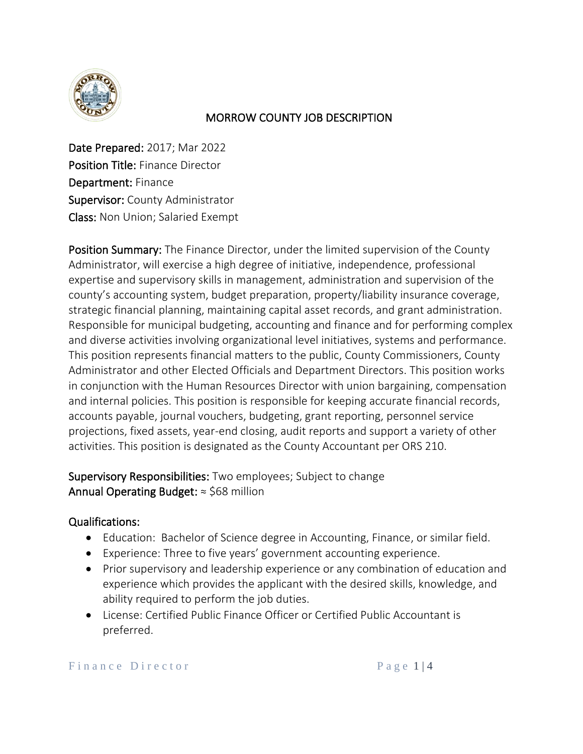

#### MORROW COUNTY JOB DESCRIPTION

Date Prepared: 2017; Mar 2022 Position Title: Finance Director Department: Finance Supervisor: County Administrator Class: Non Union; Salaried Exempt

Position Summary: The Finance Director, under the limited supervision of the County Administrator, will exercise a high degree of initiative, independence, professional expertise and supervisory skills in management, administration and supervision of the county's accounting system, budget preparation, property/liability insurance coverage, strategic financial planning, maintaining capital asset records, and grant administration. Responsible for municipal budgeting, accounting and finance and for performing complex and diverse activities involving organizational level initiatives, systems and performance. This position represents financial matters to the public, County Commissioners, County Administrator and other Elected Officials and Department Directors. This position works in conjunction with the Human Resources Director with union bargaining, compensation and internal policies. This position is responsible for keeping accurate financial records, accounts payable, journal vouchers, budgeting, grant reporting, personnel service projections, fixed assets, year-end closing, audit reports and support a variety of other activities. This position is designated as the County Accountant per ORS 210.

Supervisory Responsibilities: Two employees; Subject to change Annual Operating Budget:  $\approx$  \$68 million

### Qualifications:

- Education: Bachelor of Science degree in Accounting, Finance, or similar field.
- Experience: Three to five years' government accounting experience.
- Prior supervisory and leadership experience or any combination of education and experience which provides the applicant with the desired skills, knowledge, and ability required to perform the job duties.
- License: Certified Public Finance Officer or Certified Public Accountant is preferred.

Finance Director Page 1 4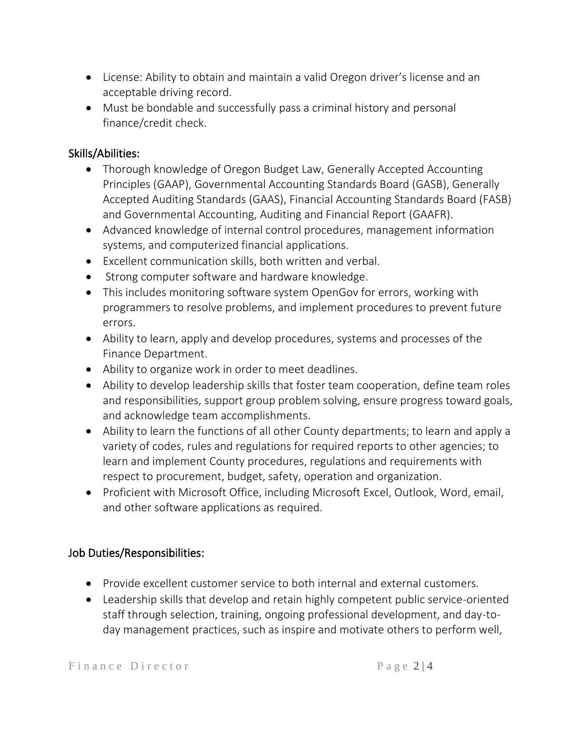- License: Ability to obtain and maintain a valid Oregon driver's license and an acceptable driving record.
- Must be bondable and successfully pass a criminal history and personal finance/credit check.

## Skills/Abilities:

- Thorough knowledge of Oregon Budget Law, Generally Accepted Accounting Principles (GAAP), Governmental Accounting Standards Board (GASB), Generally Accepted Auditing Standards (GAAS), Financial Accounting Standards Board (FASB) and Governmental Accounting, Auditing and Financial Report (GAAFR).
- Advanced knowledge of internal control procedures, management information systems, and computerized financial applications.
- Excellent communication skills, both written and verbal.
- Strong computer software and hardware knowledge.
- This includes monitoring software system OpenGov for errors, working with programmers to resolve problems, and implement procedures to prevent future errors.
- Ability to learn, apply and develop procedures, systems and processes of the Finance Department.
- Ability to organize work in order to meet deadlines.
- Ability to develop leadership skills that foster team cooperation, define team roles and responsibilities, support group problem solving, ensure progress toward goals, and acknowledge team accomplishments.
- Ability to learn the functions of all other County departments; to learn and apply a variety of codes, rules and regulations for required reports to other agencies; to learn and implement County procedures, regulations and requirements with respect to procurement, budget, safety, operation and organization.
- Proficient with Microsoft Office, including Microsoft Excel, Outlook, Word, email, and other software applications as required.

# Job Duties/Responsibilities:

- Provide excellent customer service to both internal and external customers.
- Leadership skills that develop and retain highly competent public service-oriented staff through selection, training, ongoing professional development, and day-today management practices, such as inspire and motivate others to perform well,

Finance Director Page 2|4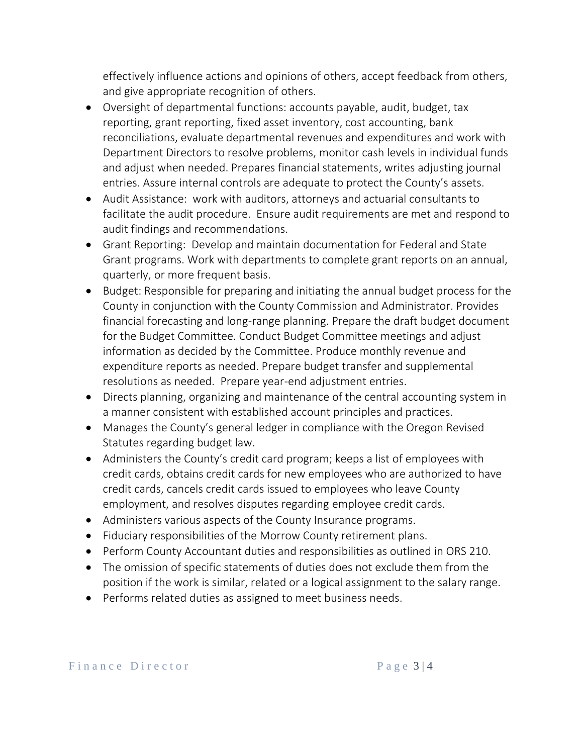effectively influence actions and opinions of others, accept feedback from others, and give appropriate recognition of others.

- Oversight of departmental functions: accounts payable, audit, budget, tax reporting, grant reporting, fixed asset inventory, cost accounting, bank reconciliations, evaluate departmental revenues and expenditures and work with Department Directors to resolve problems, monitor cash levels in individual funds and adjust when needed. Prepares financial statements, writes adjusting journal entries. Assure internal controls are adequate to protect the County's assets.
- Audit Assistance: work with auditors, attorneys and actuarial consultants to facilitate the audit procedure. Ensure audit requirements are met and respond to audit findings and recommendations.
- Grant Reporting: Develop and maintain documentation for Federal and State Grant programs. Work with departments to complete grant reports on an annual, quarterly, or more frequent basis.
- Budget: Responsible for preparing and initiating the annual budget process for the County in conjunction with the County Commission and Administrator. Provides financial forecasting and long-range planning. Prepare the draft budget document for the Budget Committee. Conduct Budget Committee meetings and adjust information as decided by the Committee. Produce monthly revenue and expenditure reports as needed. Prepare budget transfer and supplemental resolutions as needed. Prepare year-end adjustment entries.
- Directs planning, organizing and maintenance of the central accounting system in a manner consistent with established account principles and practices.
- Manages the County's general ledger in compliance with the Oregon Revised Statutes regarding budget law.
- Administers the County's credit card program; keeps a list of employees with credit cards, obtains credit cards for new employees who are authorized to have credit cards, cancels credit cards issued to employees who leave County employment, and resolves disputes regarding employee credit cards.
- Administers various aspects of the County Insurance programs.
- Fiduciary responsibilities of the Morrow County retirement plans.
- Perform County Accountant duties and responsibilities as outlined in ORS 210.
- The omission of specific statements of duties does not exclude them from the position if the work is similar, related or a logical assignment to the salary range.
- Performs related duties as assigned to meet business needs.